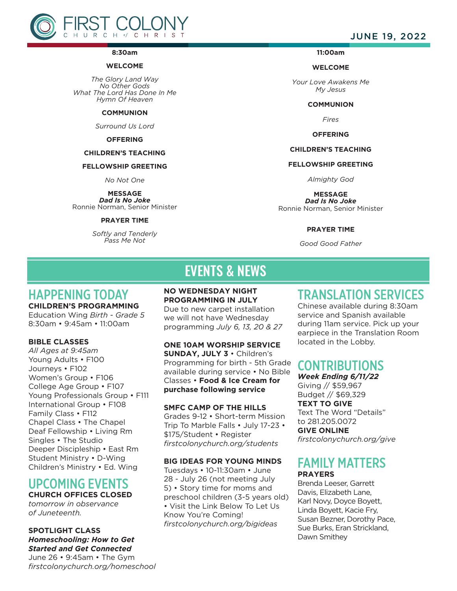

#### **8:30am**

## **WELCOME**

*The Glory Land Way No Other Gods What The Lord Has Done In Me Hymn Of Heaven*

### **COMMUNION**

*Surround Us Lord*

## **OFFERING**

### **CHILDREN'S TEACHING**

### **FELLOWSHIP GREETING**

*No Not One*

**MESSAGE**

*Dad Is No Joke* Ronnie Norman, Senior Minister

## **PRAYER TIME**

*Softly and Tenderly Pass Me Not*

# JUNE 19, 2022

# **11:00am**

#### **WELCOME**

*Your Love Awakens Me My Jesus*

#### **COMMUNION**

*Fires*

## **OFFERING**

# **CHILDREN'S TEACHING**

# **FELLOWSHIP GREETING**

*Almighty God*

**MESSAGE** *Dad Is No Joke*

Ronnie Norman, Senior Minister

## **PRAYER TIME**

*Good Good Father*

# EVENTS & NEWS

# HAPPENING TODAY

**CHILDREN'S PROGRAMMING** Education Wing *Birth - Grade 5* 8:30am • 9:45am • 11:00am

## **BIBLE CLASSES**

*All Ages at 9:45am* Young Adults • F100 Journeys • F102 Women's Group • F106 College Age Group • F107 Young Professionals Group . F111 International Group • F108 Family Class • F112 Chapel Class • The Chapel Deaf Fellowship • Living Rm Singles • The Studio Deeper Discipleship • East Rm Student Ministry • D-Wing Children's Ministry • Ed. Wing

# UPCOMING EVENTS **CHURCH OFFICES CLOSED**

*tomorrow in observance of Juneteenth.*

# **SPOTLIGHT CLASS** *Homeschooling: How to Get Started and Get Connected*

June 26 • 9:45am • The Gym *firstcolonychurch.org/homeschool* **NO WEDNESDAY NIGHT PROGRAMMING IN JULY** Due to new carpet installation we will not have Wednesday programming *July 6, 13, 20 & 27*

**ONE 10AM WORSHIP SERVICE SUNDAY, JULY 3** • Children's Programming for birth - 5th Grade available during service • No Bible Classes • **Food & Ice Cream for purchase following service** 

## **SMFC CAMP OF THE HILLS**

Grades 9-12 • Short-term Mission Trip To Marble Falls • July 17-23 • \$175/Student • Register *firstcolonychurch.org/students*

## **BIG IDEAS FOR YOUNG MINDS**

Tuesdays • 10-11:30am • June 28 - July 26 (not meeting July 5) • Story time for moms and preschool children (3-5 years old) • Visit the Link Below To Let Us Know You're Coming! *firstcolonychurch.org/bigideas*

# TRANSLATION SERVICES

Chinese available during 8:30am service and Spanish available during 11am service. Pick up your earpiece in the Translation Room located in the Lobby.

# CONTRIBUTIONS

*Week Ending 6/11/22* Giving // \$59,967 Budget // \$69,329

**TEXT TO GIVE** Text The Word "Details" to 281.205.0072 **GIVE ONLINE** *firstcolonychurch.org/give* 

# FAMILY MATTERS **PRAYERS**

Brenda Leeser, Garrett Davis, Elizabeth Lane, Karl Novy, Doyce Boyett, Linda Boyett, Kacie Fry, Susan Bezner, Dorothy Pace, Sue Burks, Eran Strickland, Dawn Smithey